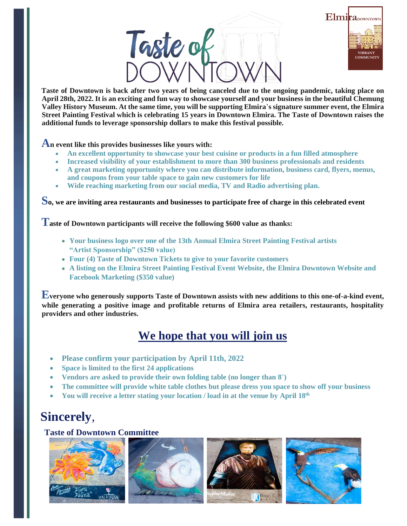# Taste of



**Taste of Downtown is back after two years of being canceled due to the ongoing pandemic, taking place on April 28th, 2022. It is an exciting and fun way to showcase yourself and your business in the beautiful Chemung Valley History Museum. At the same time, you will be supporting Elmira**'**s signature summer event, the Elmira Street Painting Festival which is celebrating 15 years in Downtown Elmira. The Taste of Downtown raises the additional funds to leverage sponsorship dollars to make this festival possible.**

#### **An event like this provides businesses like yours with:**

- **An excellent opportunity to showcase your best cuisine or products in a fun filled atmosphere**
- **Increased visibility of your establishment to more than 300 business professionals and residents**
- **A great marketing opportunity where you can distribute information, business card, flyers, menus, and coupons from your table space to gain new customers for life**
- **Wide reaching marketing from our social media, TV and Radio advertising plan.**

**So, we are inviting area restaurants and businesses to participate free of charge in this celebrated event**

**Taste of Downtown participants will receive the following \$600 value as thanks:**

- **Your business logo over one of the 13th Annual Elmira Street Painting Festival artists "Artist Sponsorship" (\$250 value)**
- **Four (4) Taste of Downtown Tickets to give to your favorite customers**
- **A listing on the Elmira Street Painting Festival Event Website, the Elmira Downtown Website and Facebook Marketing (\$350 value)**

**Everyone who generously supports Taste of Downtown assists with new additions to this one-of-a-kind event, while generating a positive image and profitable returns of Elmira area retailers, restaurants, hospitality providers and other industries.** 

## **We hope that you will join us**

- **Please confirm your participation by April 11th, 2022**
- **Space is limited to the first 24 applications**
- **Vendors are asked to provide their own folding table (no longer than 8**'**)**
- **The committee will provide white table clothes but please dress you space to show off your business**
- **You will receive a letter stating your location / load in at the venue by April 18th**

# **Sincerely**,

#### **Taste of Downtown Committee**